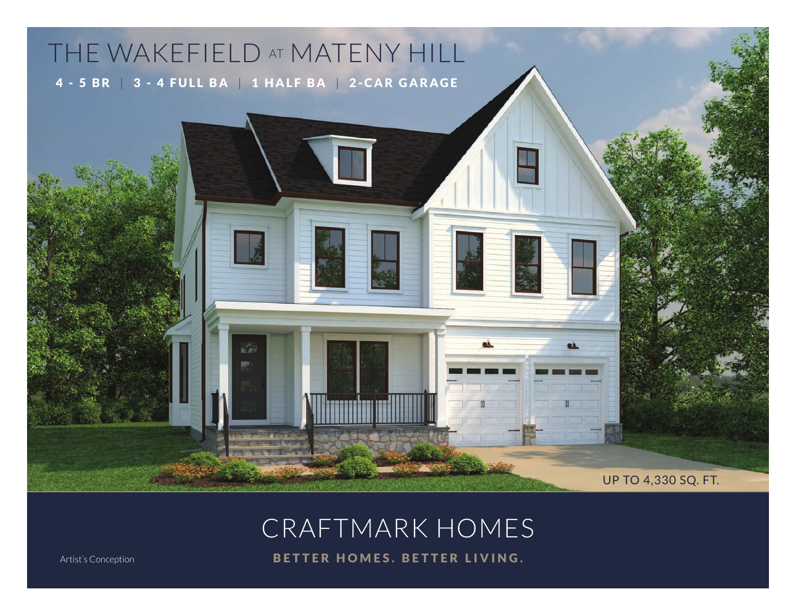## THE WAKEFIELD AT MATENY HILL 4 - 5 BR | 3 - 4 FULL BA | 1 HALF BA | 2 -CAR GARAGE

CRAFTMARK HOMES

M

UP TO 4,330 SQ. FT.

Artist's Conception **BETTER HOMES. BETTER LIVING.**